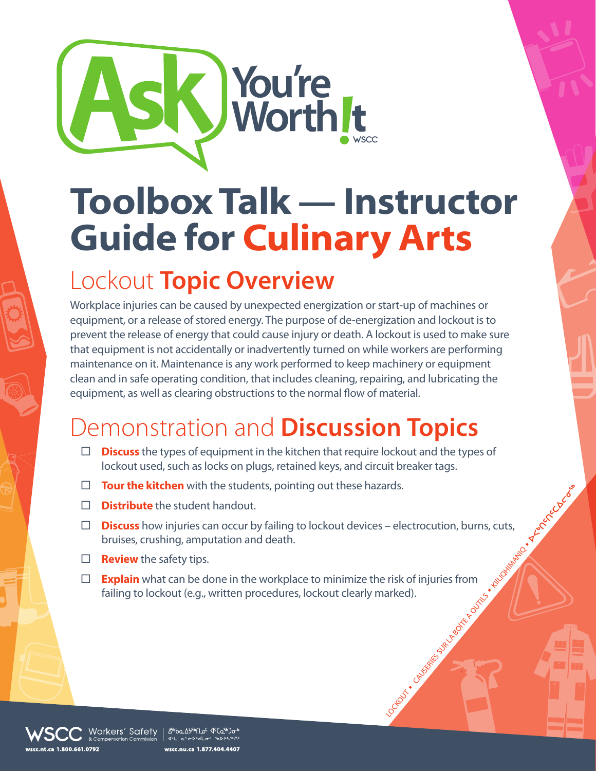

## **Toolbox Talk — Instructor Guide for Culinary Arts**

## Lockout **Topic Overview**

Workplace injuries can be caused by unexpected energization or start-up of machines or equipment, or a release of stored energy. The purpose of de-energization and lockout is to prevent the release of energy that could cause injury or death. A lockout is used to make sure that equipment is not accidentally or inadvertently turned on while workers are performing maintenance on it. Maintenance is any work performed to keep machinery or equipment clean and in safe operating condition, that includes cleaning, repairing, and lubricating the equipment, as well as clearing obstructions to the normal flow of material.

## Demonstration and **Discussion Topics**

- **Discuss** the types of equipment in the kitchen that require lockout and the types of lockout used, such as locks on plugs, retained keys, and circuit breaker tags.
- **Tour the kitchen** with the students, pointing out these hazards.
- **Distribute** the student handout.
- LOCKOUT N CAUSERIES SUR LA BOITER DE LA BOITER DE LA BOITER DE LA BOITER DE LA BOITER DE LA BOITER DE LA BOITER DE LA BOITER DE LA BOITER DE LA BOITER DE LA BOITER DE LA BOITER DE LA BOITER DE LA BOITER DE LA BOITER DE LA **Discuss** how injuries can occur by failing to lockout devices – electrocution, burns, cuts, bruises, crushing, amputation and death.
- **Review** the safety tips.
- **Explain** what can be done in the workplace to minimize the risk of injuries from failing to lockout (e.g., written procedures, lockout clearly marked).

Morkers′ Safety | ∆‱∆په∩ه د دهنه  $4H = 65$  ib<sup>3</sup>d i<sup>2</sup>o i<sup>1</sup>b wscc.nu.ca 1.877.404.4407